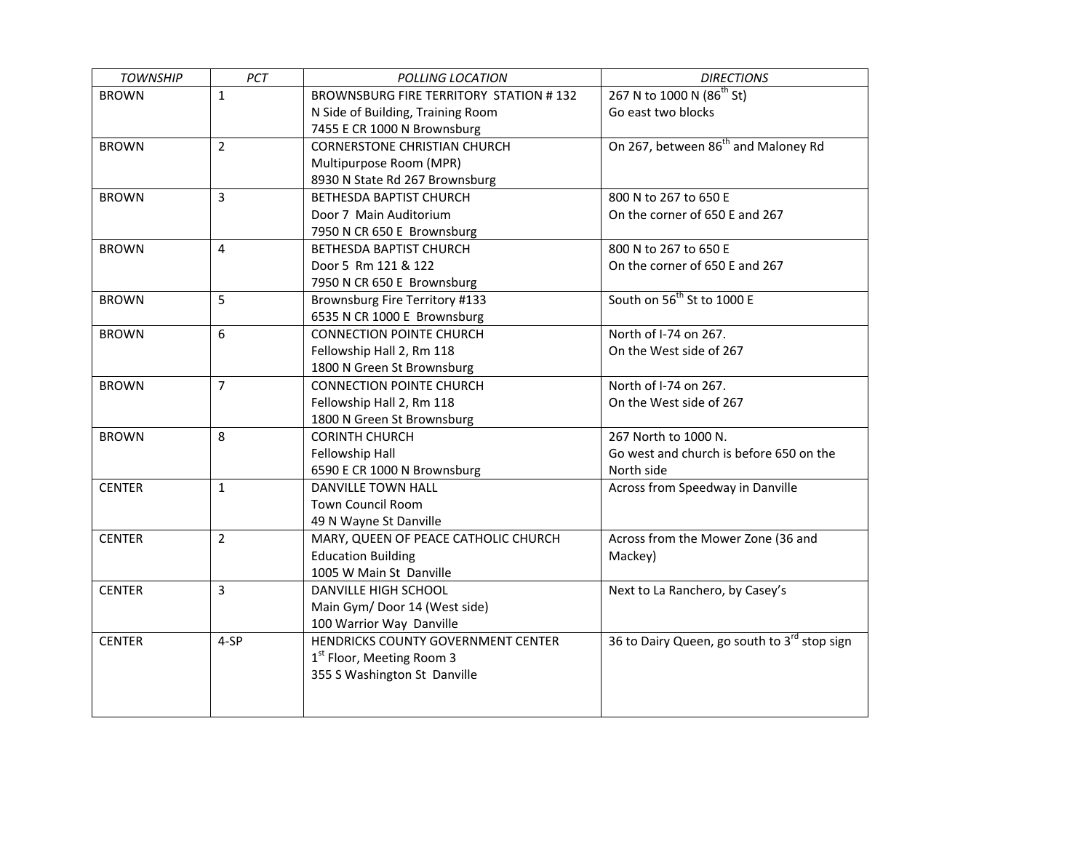| <b>TOWNSHIP</b> | PCT            | POLLING LOCATION                              | <b>DIRECTIONS</b>                                        |
|-----------------|----------------|-----------------------------------------------|----------------------------------------------------------|
| <b>BROWN</b>    | $\mathbf{1}$   | <b>BROWNSBURG FIRE TERRITORY STATION #132</b> | 267 N to 1000 N (86 <sup>th</sup> St)                    |
|                 |                | N Side of Building, Training Room             | Go east two blocks                                       |
|                 |                | 7455 E CR 1000 N Brownsburg                   |                                                          |
| <b>BROWN</b>    | $\overline{2}$ | <b>CORNERSTONE CHRISTIAN CHURCH</b>           | On 267, between 86 <sup>th</sup> and Maloney Rd          |
|                 |                | Multipurpose Room (MPR)                       |                                                          |
|                 |                | 8930 N State Rd 267 Brownsburg                |                                                          |
| <b>BROWN</b>    | 3              | BETHESDA BAPTIST CHURCH                       | 800 N to 267 to 650 E                                    |
|                 |                | Door 7 Main Auditorium                        | On the corner of 650 E and 267                           |
|                 |                | 7950 N CR 650 E Brownsburg                    |                                                          |
| <b>BROWN</b>    | 4              | <b>BETHESDA BAPTIST CHURCH</b>                | 800 N to 267 to 650 E                                    |
|                 |                | Door 5 Rm 121 & 122                           | On the corner of 650 E and 267                           |
|                 |                | 7950 N CR 650 E Brownsburg                    |                                                          |
| <b>BROWN</b>    | 5              | Brownsburg Fire Territory #133                | South on 56 <sup>th</sup> St to 1000 E                   |
|                 |                | 6535 N CR 1000 E Brownsburg                   |                                                          |
| <b>BROWN</b>    | 6              | <b>CONNECTION POINTE CHURCH</b>               | North of I-74 on 267.                                    |
|                 |                | Fellowship Hall 2, Rm 118                     | On the West side of 267                                  |
|                 |                | 1800 N Green St Brownsburg                    |                                                          |
| <b>BROWN</b>    | $\overline{7}$ | <b>CONNECTION POINTE CHURCH</b>               | North of I-74 on 267.                                    |
|                 |                | Fellowship Hall 2, Rm 118                     | On the West side of 267                                  |
|                 |                | 1800 N Green St Brownsburg                    |                                                          |
| <b>BROWN</b>    | 8              | <b>CORINTH CHURCH</b>                         | 267 North to 1000 N.                                     |
|                 |                | Fellowship Hall                               | Go west and church is before 650 on the                  |
|                 |                | 6590 E CR 1000 N Brownsburg                   | North side                                               |
| <b>CENTER</b>   | $\mathbf{1}$   | <b>DANVILLE TOWN HALL</b>                     | Across from Speedway in Danville                         |
|                 |                | <b>Town Council Room</b>                      |                                                          |
|                 |                | 49 N Wayne St Danville                        |                                                          |
| <b>CENTER</b>   | $\overline{2}$ | MARY, QUEEN OF PEACE CATHOLIC CHURCH          | Across from the Mower Zone (36 and                       |
|                 |                | <b>Education Building</b>                     | Mackey)                                                  |
|                 |                | 1005 W Main St Danville                       |                                                          |
| <b>CENTER</b>   | $\overline{3}$ | <b>DANVILLE HIGH SCHOOL</b>                   | Next to La Ranchero, by Casey's                          |
|                 |                | Main Gym/Door 14 (West side)                  |                                                          |
|                 |                | 100 Warrior Way Danville                      |                                                          |
| <b>CENTER</b>   | 4-SP           | HENDRICKS COUNTY GOVERNMENT CENTER            | 36 to Dairy Queen, go south to 3 <sup>rd</sup> stop sign |
|                 |                | 1 <sup>st</sup> Floor, Meeting Room 3         |                                                          |
|                 |                | 355 S Washington St Danville                  |                                                          |
|                 |                |                                               |                                                          |
|                 |                |                                               |                                                          |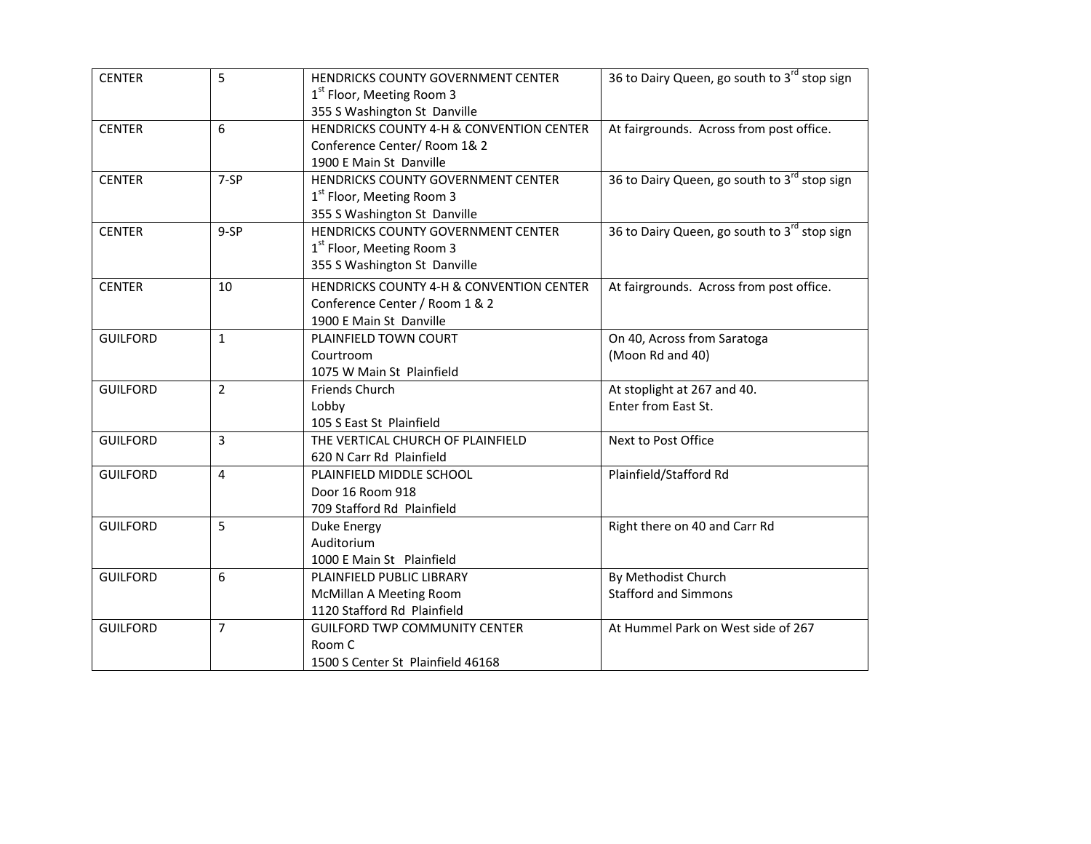| <b>CENTER</b>   | 5              | HENDRICKS COUNTY GOVERNMENT CENTER       | 36 to Dairy Queen, go south to 3rd stop sign |
|-----------------|----------------|------------------------------------------|----------------------------------------------|
|                 |                | 1 <sup>st</sup> Floor, Meeting Room 3    |                                              |
|                 |                | 355 S Washington St Danville             |                                              |
| <b>CENTER</b>   | 6              | HENDRICKS COUNTY 4-H & CONVENTION CENTER | At fairgrounds. Across from post office.     |
|                 |                | Conference Center/Room 1& 2              |                                              |
|                 |                | 1900 E Main St Danville                  |                                              |
| <b>CENTER</b>   | $7-SP$         | HENDRICKS COUNTY GOVERNMENT CENTER       | 36 to Dairy Queen, go south to 3rd stop sign |
|                 |                | 1 <sup>st</sup> Floor, Meeting Room 3    |                                              |
|                 |                | 355 S Washington St Danville             |                                              |
| <b>CENTER</b>   | $9-SP$         | HENDRICKS COUNTY GOVERNMENT CENTER       | 36 to Dairy Queen, go south to 3rd stop sign |
|                 |                | 1 <sup>st</sup> Floor, Meeting Room 3    |                                              |
|                 |                | 355 S Washington St Danville             |                                              |
| <b>CENTER</b>   | 10             | HENDRICKS COUNTY 4-H & CONVENTION CENTER | At fairgrounds. Across from post office.     |
|                 |                | Conference Center / Room 1 & 2           |                                              |
|                 |                | 1900 E Main St Danville                  |                                              |
| <b>GUILFORD</b> | $\mathbf{1}$   | PLAINFIELD TOWN COURT                    | On 40, Across from Saratoga                  |
|                 |                | Courtroom                                | (Moon Rd and 40)                             |
|                 |                | 1075 W Main St Plainfield                |                                              |
| <b>GUILFORD</b> | $\overline{2}$ | Friends Church                           | At stoplight at 267 and 40.                  |
|                 |                | Lobby                                    | Enter from East St.                          |
|                 |                | 105 S East St Plainfield                 |                                              |
| <b>GUILFORD</b> | 3              | THE VERTICAL CHURCH OF PLAINFIELD        | Next to Post Office                          |
|                 |                | 620 N Carr Rd Plainfield                 |                                              |
| <b>GUILFORD</b> | $\overline{4}$ | PLAINFIELD MIDDLE SCHOOL                 | Plainfield/Stafford Rd                       |
|                 |                | Door 16 Room 918                         |                                              |
|                 |                | 709 Stafford Rd Plainfield               |                                              |
| <b>GUILFORD</b> | 5              | Duke Energy                              | Right there on 40 and Carr Rd                |
|                 |                | Auditorium                               |                                              |
|                 |                | 1000 E Main St Plainfield                |                                              |
| <b>GUILFORD</b> | 6              | PLAINFIELD PUBLIC LIBRARY                | By Methodist Church                          |
|                 |                | McMillan A Meeting Room                  | <b>Stafford and Simmons</b>                  |
|                 |                | 1120 Stafford Rd Plainfield              |                                              |
| <b>GUILFORD</b> | $\overline{7}$ | <b>GUILFORD TWP COMMUNITY CENTER</b>     | At Hummel Park on West side of 267           |
|                 |                | Room C                                   |                                              |
|                 |                | 1500 S Center St Plainfield 46168        |                                              |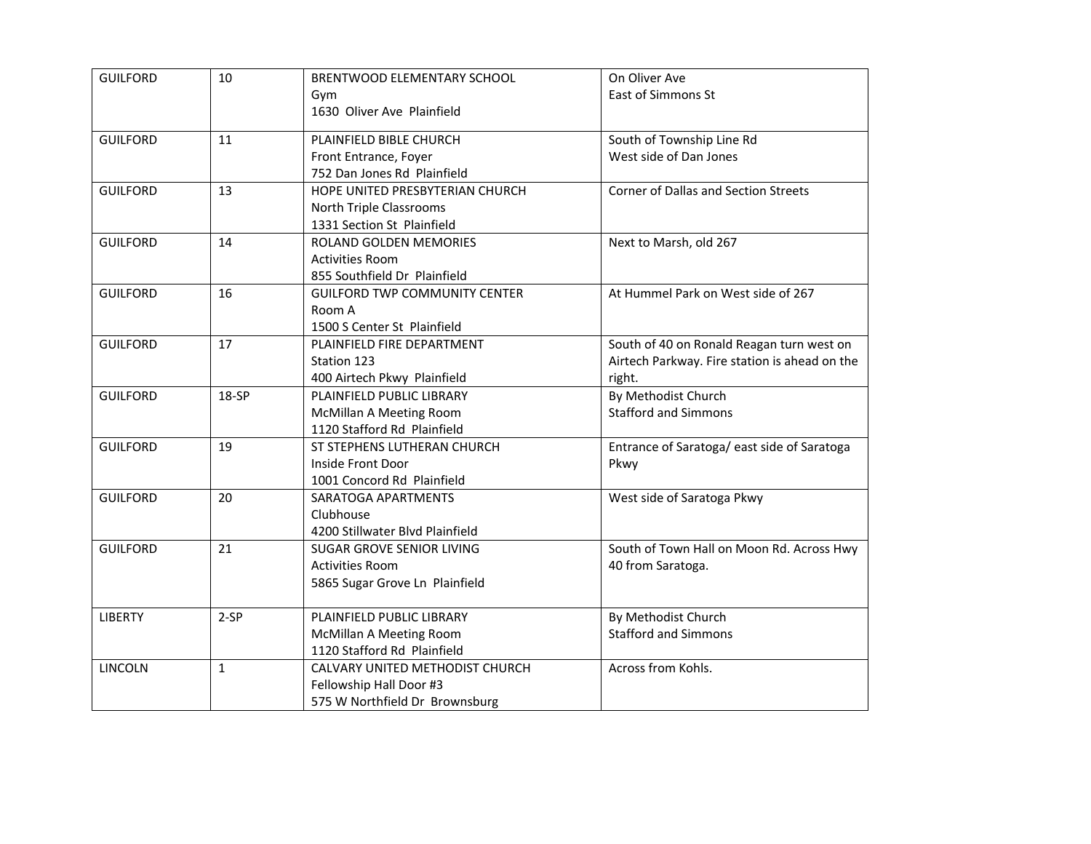| <b>GUILFORD</b> | 10           | BRENTWOOD ELEMENTARY SCHOOL          | On Oliver Ave                                 |
|-----------------|--------------|--------------------------------------|-----------------------------------------------|
|                 |              | Gym                                  | East of Simmons St                            |
|                 |              | 1630 Oliver Ave Plainfield           |                                               |
| <b>GUILFORD</b> | 11           | PLAINFIELD BIBLE CHURCH              | South of Township Line Rd                     |
|                 |              | Front Entrance, Foyer                | West side of Dan Jones                        |
|                 |              | 752 Dan Jones Rd Plainfield          |                                               |
| <b>GUILFORD</b> | 13           | HOPE UNITED PRESBYTERIAN CHURCH      | Corner of Dallas and Section Streets          |
|                 |              | North Triple Classrooms              |                                               |
|                 |              | 1331 Section St Plainfield           |                                               |
| <b>GUILFORD</b> | 14           | ROLAND GOLDEN MEMORIES               | Next to Marsh, old 267                        |
|                 |              | <b>Activities Room</b>               |                                               |
|                 |              | 855 Southfield Dr Plainfield         |                                               |
| <b>GUILFORD</b> | 16           | <b>GUILFORD TWP COMMUNITY CENTER</b> | At Hummel Park on West side of 267            |
|                 |              | Room A                               |                                               |
|                 |              | 1500 S Center St Plainfield          |                                               |
| <b>GUILFORD</b> | 17           | PLAINFIELD FIRE DEPARTMENT           | South of 40 on Ronald Reagan turn west on     |
|                 |              | Station 123                          | Airtech Parkway. Fire station is ahead on the |
|                 |              | 400 Airtech Pkwy Plainfield          | right.                                        |
| <b>GUILFORD</b> | 18-SP        | PLAINFIELD PUBLIC LIBRARY            | By Methodist Church                           |
|                 |              | <b>McMillan A Meeting Room</b>       | <b>Stafford and Simmons</b>                   |
|                 |              | 1120 Stafford Rd Plainfield          |                                               |
| <b>GUILFORD</b> | 19           | ST STEPHENS LUTHERAN CHURCH          | Entrance of Saratoga/ east side of Saratoga   |
|                 |              | Inside Front Door                    | Pkwy                                          |
|                 |              | 1001 Concord Rd Plainfield           |                                               |
| <b>GUILFORD</b> | 20           | SARATOGA APARTMENTS                  | West side of Saratoga Pkwy                    |
|                 |              | Clubhouse                            |                                               |
|                 |              | 4200 Stillwater Blvd Plainfield      |                                               |
| <b>GUILFORD</b> | 21           | SUGAR GROVE SENIOR LIVING            | South of Town Hall on Moon Rd. Across Hwy     |
|                 |              | <b>Activities Room</b>               | 40 from Saratoga.                             |
|                 |              | 5865 Sugar Grove Ln Plainfield       |                                               |
|                 |              |                                      |                                               |
| <b>LIBERTY</b>  | $2-SP$       | PLAINFIELD PUBLIC LIBRARY            | By Methodist Church                           |
|                 |              | McMillan A Meeting Room              | <b>Stafford and Simmons</b>                   |
|                 |              | 1120 Stafford Rd Plainfield          |                                               |
| <b>LINCOLN</b>  | $\mathbf{1}$ | CALVARY UNITED METHODIST CHURCH      | Across from Kohls.                            |
|                 |              | Fellowship Hall Door #3              |                                               |
|                 |              | 575 W Northfield Dr Brownsburg       |                                               |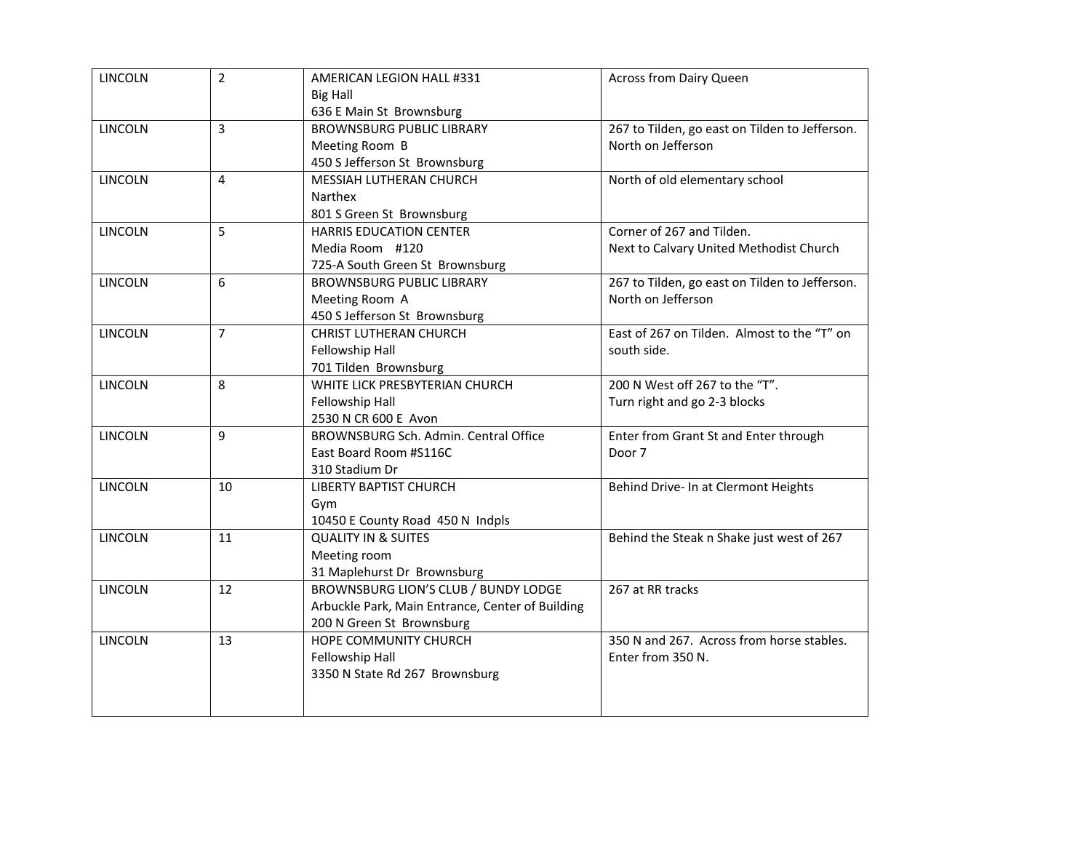| <b>LINCOLN</b> | $\overline{2}$ | AMERICAN LEGION HALL #331                        | <b>Across from Dairy Queen</b>                 |
|----------------|----------------|--------------------------------------------------|------------------------------------------------|
|                |                | <b>Big Hall</b>                                  |                                                |
|                |                | 636 E Main St Brownsburg                         |                                                |
| <b>LINCOLN</b> | 3              | <b>BROWNSBURG PUBLIC LIBRARY</b>                 | 267 to Tilden, go east on Tilden to Jefferson. |
|                |                | Meeting Room B                                   | North on Jefferson                             |
|                |                | 450 S Jefferson St Brownsburg                    |                                                |
| <b>LINCOLN</b> | $\overline{4}$ | MESSIAH LUTHERAN CHURCH                          | North of old elementary school                 |
|                |                | Narthex                                          |                                                |
|                |                | 801 S Green St Brownsburg                        |                                                |
| <b>LINCOLN</b> | 5              | <b>HARRIS EDUCATION CENTER</b>                   | Corner of 267 and Tilden.                      |
|                |                | Media Room #120                                  | Next to Calvary United Methodist Church        |
|                |                | 725-A South Green St Brownsburg                  |                                                |
| <b>LINCOLN</b> | 6              | <b>BROWNSBURG PUBLIC LIBRARY</b>                 | 267 to Tilden, go east on Tilden to Jefferson. |
|                |                | Meeting Room A                                   | North on Jefferson                             |
|                |                | 450 S Jefferson St Brownsburg                    |                                                |
| <b>LINCOLN</b> | $\overline{7}$ | <b>CHRIST LUTHERAN CHURCH</b>                    | East of 267 on Tilden. Almost to the "T" on    |
|                |                | Fellowship Hall                                  | south side.                                    |
|                |                | 701 Tilden Brownsburg                            |                                                |
| <b>LINCOLN</b> | 8              | WHITE LICK PRESBYTERIAN CHURCH                   | 200 N West off 267 to the "T".                 |
|                |                | Fellowship Hall                                  | Turn right and go 2-3 blocks                   |
|                |                | 2530 N CR 600 E Avon                             |                                                |
| <b>LINCOLN</b> | 9              | BROWNSBURG Sch. Admin. Central Office            | Enter from Grant St and Enter through          |
|                |                | East Board Room #S116C                           | Door 7                                         |
|                |                | 310 Stadium Dr                                   |                                                |
| <b>LINCOLN</b> | 10             | <b>LIBERTY BAPTIST CHURCH</b>                    | Behind Drive- In at Clermont Heights           |
|                |                | Gym                                              |                                                |
|                |                | 10450 E County Road 450 N Indpls                 |                                                |
| <b>LINCOLN</b> | 11             | <b>QUALITY IN &amp; SUITES</b>                   | Behind the Steak n Shake just west of 267      |
|                |                | Meeting room                                     |                                                |
|                |                | 31 Maplehurst Dr Brownsburg                      |                                                |
| <b>LINCOLN</b> | 12             | BROWNSBURG LION'S CLUB / BUNDY LODGE             | 267 at RR tracks                               |
|                |                | Arbuckle Park, Main Entrance, Center of Building |                                                |
|                |                | 200 N Green St Brownsburg                        |                                                |
| <b>LINCOLN</b> | 13             | HOPE COMMUNITY CHURCH                            | 350 N and 267. Across from horse stables.      |
|                |                | Fellowship Hall                                  | Enter from 350 N.                              |
|                |                | 3350 N State Rd 267 Brownsburg                   |                                                |
|                |                |                                                  |                                                |
|                |                |                                                  |                                                |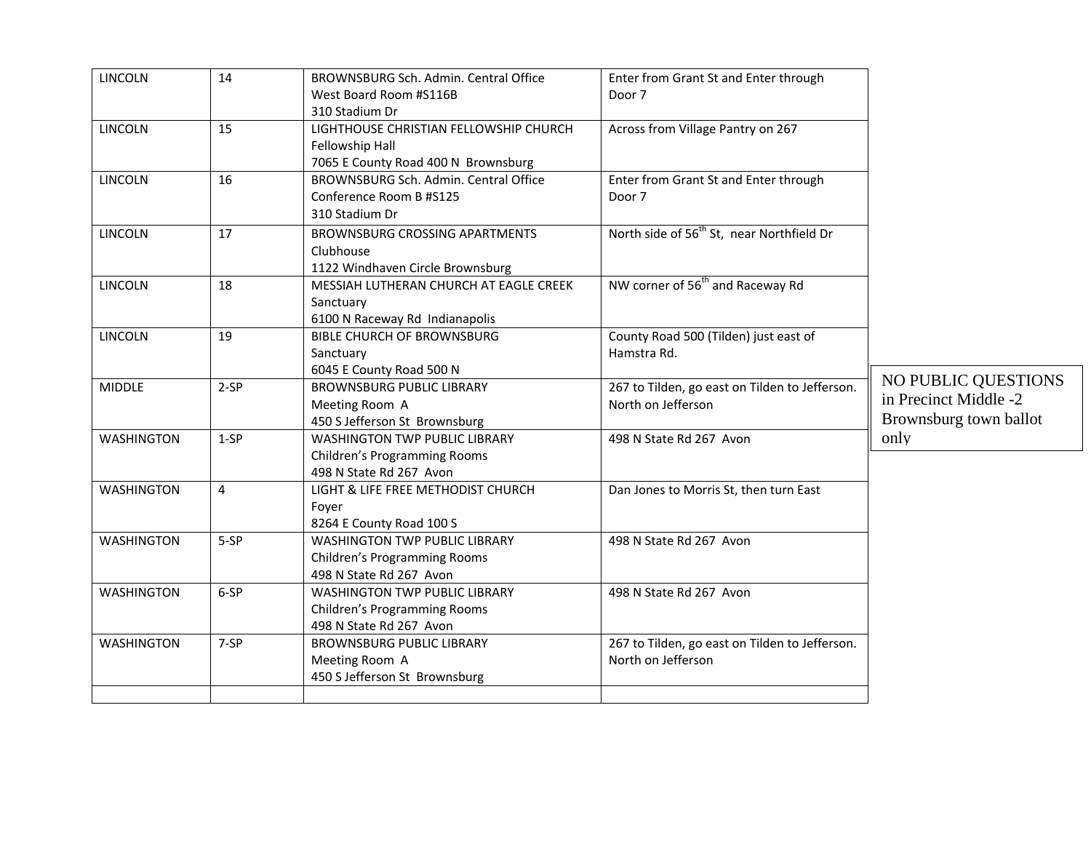| <b>LINCOLN</b>    | 14             | BROWNSBURG Sch. Admin. Central Office  | Enter from Grant St and Enter through                 |                        |
|-------------------|----------------|----------------------------------------|-------------------------------------------------------|------------------------|
|                   |                | West Board Room #S116B                 | Door 7                                                |                        |
|                   |                | 310 Stadium Dr                         |                                                       |                        |
| <b>LINCOLN</b>    | 15             | LIGHTHOUSE CHRISTIAN FELLOWSHIP CHURCH | Across from Village Pantry on 267                     |                        |
|                   |                | Fellowship Hall                        |                                                       |                        |
|                   |                | 7065 E County Road 400 N Brownsburg    |                                                       |                        |
| <b>LINCOLN</b>    | 16             | BROWNSBURG Sch. Admin. Central Office  | Enter from Grant St and Enter through                 |                        |
|                   |                | Conference Room B #S125                | Door 7                                                |                        |
|                   |                | 310 Stadium Dr                         |                                                       |                        |
| <b>LINCOLN</b>    | 17             | BROWNSBURG CROSSING APARTMENTS         | North side of 56 <sup>th</sup> St, near Northfield Dr |                        |
|                   |                | Clubhouse                              |                                                       |                        |
|                   |                | 1122 Windhaven Circle Brownsburg       |                                                       |                        |
| LINCOLN           | 18             | MESSIAH LUTHERAN CHURCH AT EAGLE CREEK | NW corner of 56 <sup>th</sup> and Raceway Rd          |                        |
|                   |                | Sanctuary                              |                                                       |                        |
|                   |                | 6100 N Raceway Rd Indianapolis         |                                                       |                        |
| <b>LINCOLN</b>    | 19             | <b>BIBLE CHURCH OF BROWNSBURG</b>      | County Road 500 (Tilden) just east of                 |                        |
|                   |                | Sanctuary                              | Hamstra Rd.                                           |                        |
|                   |                | 6045 E County Road 500 N               |                                                       |                        |
| <b>MIDDLE</b>     | $2-SP$         | <b>BROWNSBURG PUBLIC LIBRARY</b>       | 267 to Tilden, go east on Tilden to Jefferson.        | NO PUBLIC QUESTIONS    |
|                   |                | Meeting Room A                         | North on Jefferson                                    | in Precinct Middle -2  |
|                   |                | 450 S Jefferson St Brownsburg          |                                                       | Brownsburg town ballot |
| <b>WASHINGTON</b> | $1-SP$         | <b>WASHINGTON TWP PUBLIC LIBRARY</b>   | 498 N State Rd 267 Avon                               | only                   |
|                   |                | <b>Children's Programming Rooms</b>    |                                                       |                        |
|                   |                | 498 N State Rd 267 Avon                |                                                       |                        |
| <b>WASHINGTON</b> | $\overline{4}$ | LIGHT & LIFE FREE METHODIST CHURCH     | Dan Jones to Morris St, then turn East                |                        |
|                   |                | Foyer                                  |                                                       |                        |
|                   |                | 8264 E County Road 100 S               |                                                       |                        |
| <b>WASHINGTON</b> | 5-SP           | <b>WASHINGTON TWP PUBLIC LIBRARY</b>   | 498 N State Rd 267 Avon                               |                        |
|                   |                | Children's Programming Rooms           |                                                       |                        |
|                   |                | 498 N State Rd 267 Avon                |                                                       |                        |
| <b>WASHINGTON</b> | 6-SP           | <b>WASHINGTON TWP PUBLIC LIBRARY</b>   | 498 N State Rd 267 Avon                               |                        |
|                   |                | <b>Children's Programming Rooms</b>    |                                                       |                        |
|                   |                | 498 N State Rd 267 Avon                |                                                       |                        |
| <b>WASHINGTON</b> | 7-SP           | <b>BROWNSBURG PUBLIC LIBRARY</b>       | 267 to Tilden, go east on Tilden to Jefferson.        |                        |
|                   |                | Meeting Room A                         | North on Jefferson                                    |                        |
|                   |                | 450 S Jefferson St Brownsburg          |                                                       |                        |
|                   |                |                                        |                                                       |                        |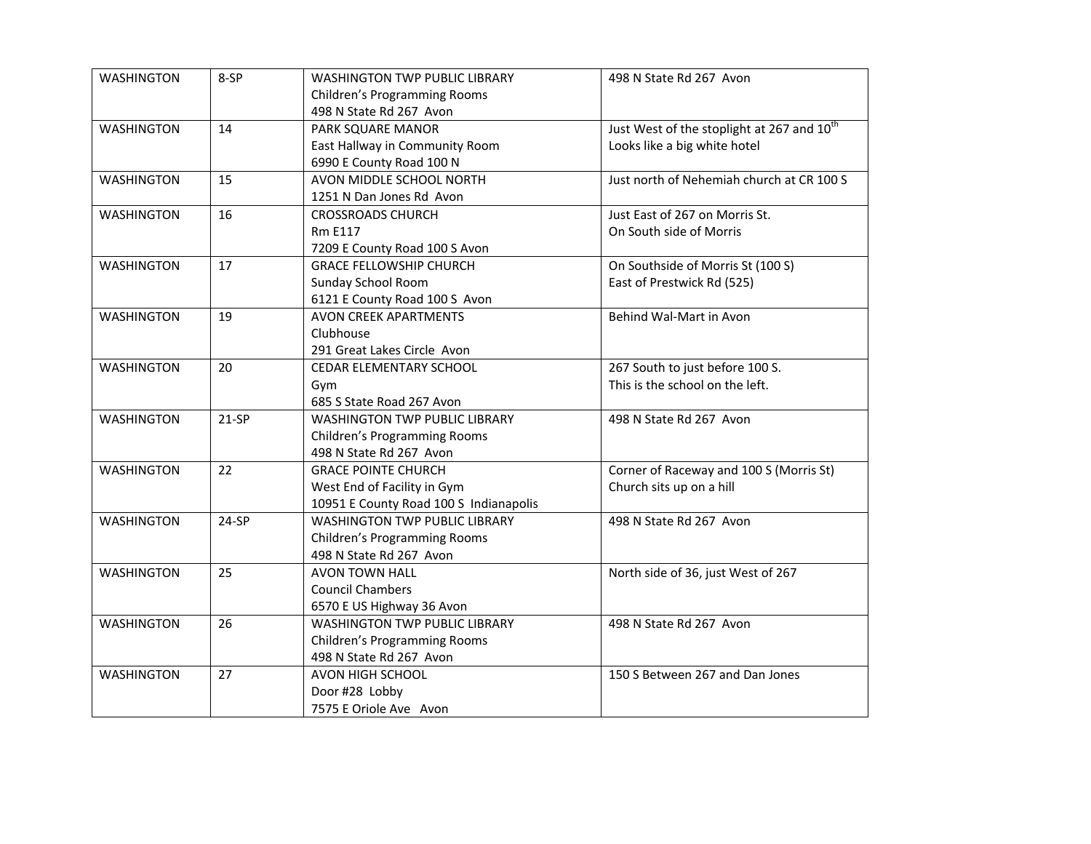| <b>WASHINGTON</b> | 8-SP    | <b>WASHINGTON TWP PUBLIC LIBRARY</b>   | 498 N State Rd 267 Avon                                |
|-------------------|---------|----------------------------------------|--------------------------------------------------------|
|                   |         | Children's Programming Rooms           |                                                        |
|                   |         | 498 N State Rd 267 Avon                |                                                        |
| <b>WASHINGTON</b> | 14      | PARK SQUARE MANOR                      | Just West of the stoplight at 267 and 10 <sup>th</sup> |
|                   |         | East Hallway in Community Room         | Looks like a big white hotel                           |
|                   |         | 6990 E County Road 100 N               |                                                        |
| <b>WASHINGTON</b> | 15      | AVON MIDDLE SCHOOL NORTH               | Just north of Nehemiah church at CR 100 S              |
|                   |         | 1251 N Dan Jones Rd Avon               |                                                        |
| <b>WASHINGTON</b> | 16      | <b>CROSSROADS CHURCH</b>               | Just East of 267 on Morris St.                         |
|                   |         | <b>Rm E117</b>                         | On South side of Morris                                |
|                   |         | 7209 E County Road 100 S Avon          |                                                        |
| <b>WASHINGTON</b> | 17      | <b>GRACE FELLOWSHIP CHURCH</b>         | On Southside of Morris St (100 S)                      |
|                   |         | <b>Sunday School Room</b>              | East of Prestwick Rd (525)                             |
|                   |         | 6121 E County Road 100 S Avon          |                                                        |
| <b>WASHINGTON</b> | 19      | <b>AVON CREEK APARTMENTS</b>           | Behind Wal-Mart in Avon                                |
|                   |         | Clubhouse                              |                                                        |
|                   |         | 291 Great Lakes Circle Avon            |                                                        |
| <b>WASHINGTON</b> | 20      | CEDAR ELEMENTARY SCHOOL                | 267 South to just before 100 S.                        |
|                   |         | Gym                                    | This is the school on the left.                        |
|                   |         | 685 S State Road 267 Avon              |                                                        |
| <b>WASHINGTON</b> | $21-SP$ | <b>WASHINGTON TWP PUBLIC LIBRARY</b>   | 498 N State Rd 267 Avon                                |
|                   |         | <b>Children's Programming Rooms</b>    |                                                        |
|                   |         | 498 N State Rd 267 Avon                |                                                        |
| <b>WASHINGTON</b> | 22      | <b>GRACE POINTE CHURCH</b>             | Corner of Raceway and 100 S (Morris St)                |
|                   |         | West End of Facility in Gym            | Church sits up on a hill                               |
|                   |         | 10951 E County Road 100 S Indianapolis |                                                        |
| <b>WASHINGTON</b> | 24-SP   | <b>WASHINGTON TWP PUBLIC LIBRARY</b>   | 498 N State Rd 267 Avon                                |
|                   |         | <b>Children's Programming Rooms</b>    |                                                        |
|                   |         | 498 N State Rd 267 Avon                |                                                        |
| <b>WASHINGTON</b> | 25      | <b>AVON TOWN HALL</b>                  | North side of 36, just West of 267                     |
|                   |         | <b>Council Chambers</b>                |                                                        |
|                   |         | 6570 E US Highway 36 Avon              |                                                        |
| <b>WASHINGTON</b> | 26      | <b>WASHINGTON TWP PUBLIC LIBRARY</b>   | 498 N State Rd 267 Avon                                |
|                   |         | Children's Programming Rooms           |                                                        |
|                   |         | 498 N State Rd 267 Avon                |                                                        |
| <b>WASHINGTON</b> | 27      | AVON HIGH SCHOOL                       | 150 S Between 267 and Dan Jones                        |
|                   |         | Door #28 Lobby                         |                                                        |
|                   |         | 7575 E Oriole Ave Avon                 |                                                        |